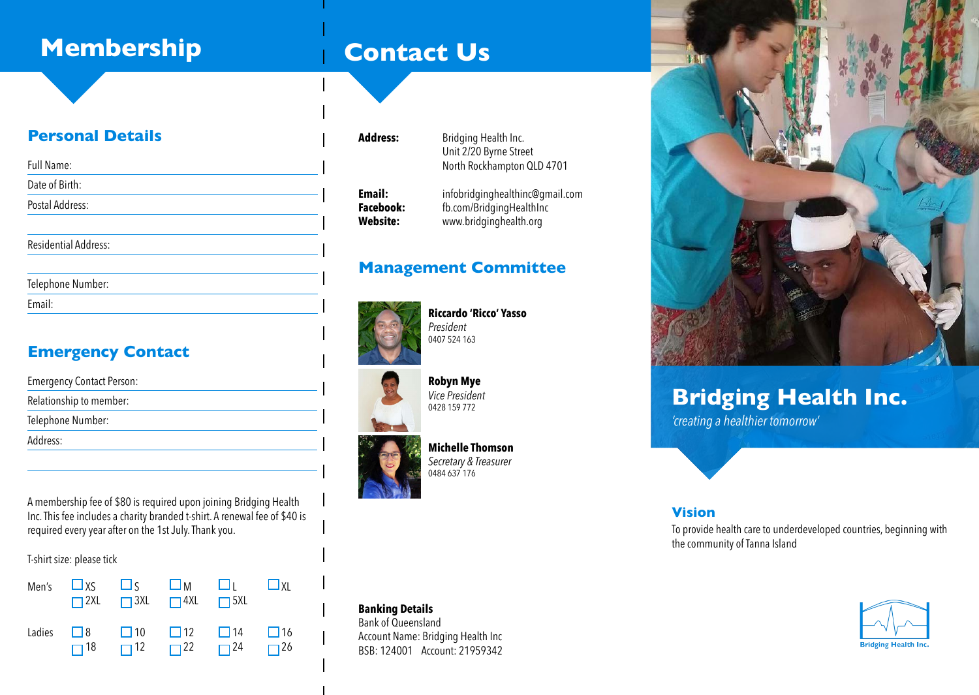## **Membership**

## **Contact Us**

#### **Personal Details**

| Full Name:                  |  |
|-----------------------------|--|
| Date of Birth:              |  |
| Postal Address:             |  |
| <b>Residential Address:</b> |  |

| Telephone Number: |  |
|-------------------|--|
| Email:            |  |

## **Emergency Contact**

| <b>Emergency Contact Person:</b> |  |
|----------------------------------|--|
| Relationship to member:          |  |
| Telephone Number:                |  |
| Address:                         |  |

A membership fee of \$80 is required upon joining Bridging Health Inc. This fee includes a charity branded t-shirt. A renewal fee of \$40 is required every year after on the 1st July. Thank you.

#### T-shirt size: please tick



#### Address: **Bridging Health Inc.**  Unit 2/20 Byrne Street North Rockhampton QLD 4701 **Email:** infobridginghealthinc@gmail.com<br> **Facebook:** fb.com/BridgingHealthInc **Facebook:** fb.com/BridgingHealthInc<br> **Website:** www.bridginghealth.org **Website:** www.bridginghealth.org

#### **Management Committee**



**Riccardo 'Ricco' Yasso** *President*  0407 524 163



## **Michelle Thomson**

*Secretary & Treasurer* 0484 637 176

**Robyn Mye** *Vice President*  0428 159 772



## **Bridging Health Inc.**

*'creating a healthier tomorrow'*

#### **Vision**

To provide health care to underdeveloped countries, beginning with the community of Tanna Island

# **Bridging Health Inc.**

#### **Banking Details**

Bank of Queensland Account Name: Bridging Health Inc BSB: 124001 Account: 21959342